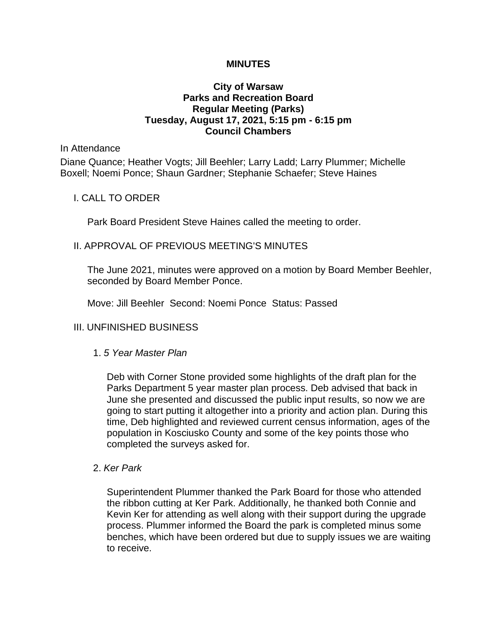### **MINUTES**

## **City of Warsaw Parks and Recreation Board Regular Meeting (Parks) Tuesday, August 17, 2021, 5:15 pm - 6:15 pm Council Chambers**

#### In Attendance

Diane Quance; Heather Vogts; Jill Beehler; Larry Ladd; Larry Plummer; Michelle Boxell; Noemi Ponce; Shaun Gardner; Stephanie Schaefer; Steve Haines

### I. CALL TO ORDER

Park Board President Steve Haines called the meeting to order.

### II. APPROVAL OF PREVIOUS MEETING'S MINUTES

The June 2021, minutes were approved on a motion by Board Member Beehler, seconded by Board Member Ponce.

Move: Jill Beehler Second: Noemi Ponce Status: Passed

### III. UNFINISHED BUSINESS

#### 1. *5 Year Master Plan*

Deb with Corner Stone provided some highlights of the draft plan for the Parks Department 5 year master plan process. Deb advised that back in June she presented and discussed the public input results, so now we are going to start putting it altogether into a priority and action plan. During this time, Deb highlighted and reviewed current census information, ages of the population in Kosciusko County and some of the key points those who completed the surveys asked for.

#### 2. *Ker Park*

Superintendent Plummer thanked the Park Board for those who attended the ribbon cutting at Ker Park. Additionally, he thanked both Connie and Kevin Ker for attending as well along with their support during the upgrade process. Plummer informed the Board the park is completed minus some benches, which have been ordered but due to supply issues we are waiting to receive.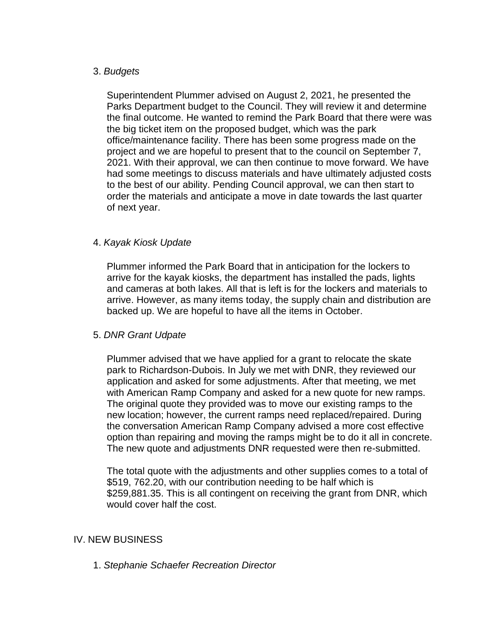## 3. *Budgets*

Superintendent Plummer advised on August 2, 2021, he presented the Parks Department budget to the Council. They will review it and determine the final outcome. He wanted to remind the Park Board that there were was the big ticket item on the proposed budget, which was the park office/maintenance facility. There has been some progress made on the project and we are hopeful to present that to the council on September 7, 2021. With their approval, we can then continue to move forward. We have had some meetings to discuss materials and have ultimately adjusted costs to the best of our ability. Pending Council approval, we can then start to order the materials and anticipate a move in date towards the last quarter of next year.

## 4. *Kayak Kiosk Update*

Plummer informed the Park Board that in anticipation for the lockers to arrive for the kayak kiosks, the department has installed the pads, lights and cameras at both lakes. All that is left is for the lockers and materials to arrive. However, as many items today, the supply chain and distribution are backed up. We are hopeful to have all the items in October.

## 5. *DNR Grant Udpate*

Plummer advised that we have applied for a grant to relocate the skate park to Richardson-Dubois. In July we met with DNR, they reviewed our application and asked for some adjustments. After that meeting, we met with American Ramp Company and asked for a new quote for new ramps. The original quote they provided was to move our existing ramps to the new location; however, the current ramps need replaced/repaired. During the conversation American Ramp Company advised a more cost effective option than repairing and moving the ramps might be to do it all in concrete. The new quote and adjustments DNR requested were then re-submitted.

The total quote with the adjustments and other supplies comes to a total of \$519, 762.20, with our contribution needing to be half which is \$259,881.35. This is all contingent on receiving the grant from DNR, which would cover half the cost.

## IV. NEW BUSINESS

1. *Stephanie Schaefer Recreation Director*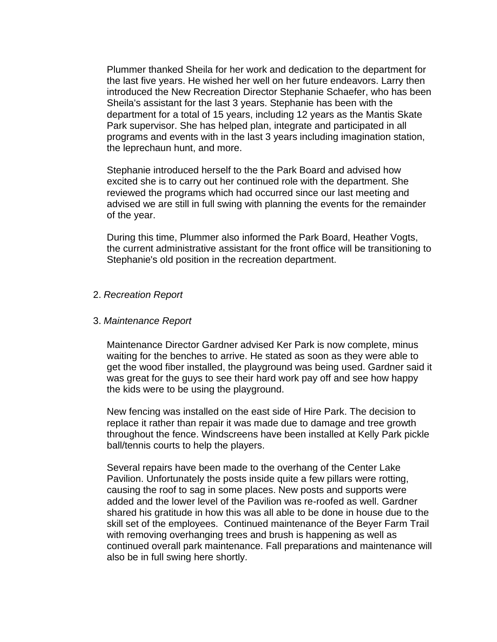Plummer thanked Sheila for her work and dedication to the department for the last five years. He wished her well on her future endeavors. Larry then introduced the New Recreation Director Stephanie Schaefer, who has been Sheila's assistant for the last 3 years. Stephanie has been with the department for a total of 15 years, including 12 years as the Mantis Skate Park supervisor. She has helped plan, integrate and participated in all programs and events with in the last 3 years including imagination station, the leprechaun hunt, and more.

Stephanie introduced herself to the the Park Board and advised how excited she is to carry out her continued role with the department. She reviewed the programs which had occurred since our last meeting and advised we are still in full swing with planning the events for the remainder of the year.

During this time, Plummer also informed the Park Board, Heather Vogts, the current administrative assistant for the front office will be transitioning to Stephanie's old position in the recreation department.

### 2. *Recreation Report*

#### 3. *Maintenance Report*

Maintenance Director Gardner advised Ker Park is now complete, minus waiting for the benches to arrive. He stated as soon as they were able to get the wood fiber installed, the playground was being used. Gardner said it was great for the guys to see their hard work pay off and see how happy the kids were to be using the playground.

New fencing was installed on the east side of Hire Park. The decision to replace it rather than repair it was made due to damage and tree growth throughout the fence. Windscreens have been installed at Kelly Park pickle ball/tennis courts to help the players.

Several repairs have been made to the overhang of the Center Lake Pavilion. Unfortunately the posts inside quite a few pillars were rotting, causing the roof to sag in some places. New posts and supports were added and the lower level of the Pavilion was re-roofed as well. Gardner shared his gratitude in how this was all able to be done in house due to the skill set of the employees. Continued maintenance of the Beyer Farm Trail with removing overhanging trees and brush is happening as well as continued overall park maintenance. Fall preparations and maintenance will also be in full swing here shortly.